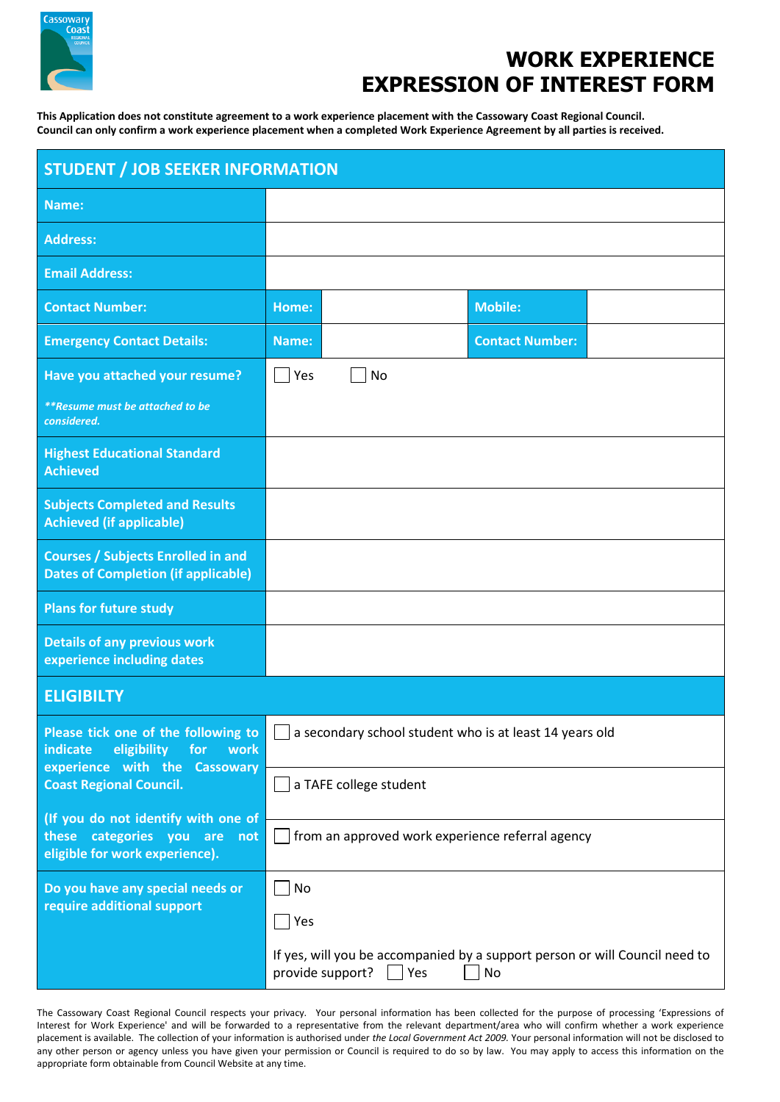

## **WORK EXPERIENCE EXPRESSION OF INTEREST FORM**

**This Application does not constitute agreement to a work experience placement with the Cassowary Coast Regional Council. Council can only confirm a work experience placement when a completed Work Experience Agreement by all parties is received.**

| <b>STUDENT / JOB SEEKER INFORMATION</b>                                                                                                          |                                                                                                           |  |                        |  |  |  |  |
|--------------------------------------------------------------------------------------------------------------------------------------------------|-----------------------------------------------------------------------------------------------------------|--|------------------------|--|--|--|--|
| Name:                                                                                                                                            |                                                                                                           |  |                        |  |  |  |  |
| <b>Address:</b>                                                                                                                                  |                                                                                                           |  |                        |  |  |  |  |
| <b>Email Address:</b>                                                                                                                            |                                                                                                           |  |                        |  |  |  |  |
| <b>Contact Number:</b>                                                                                                                           | Home:                                                                                                     |  | <b>Mobile:</b>         |  |  |  |  |
| <b>Emergency Contact Details:</b>                                                                                                                | Name:                                                                                                     |  | <b>Contact Number:</b> |  |  |  |  |
| Have you attached your resume?                                                                                                                   | Yes<br>No                                                                                                 |  |                        |  |  |  |  |
| **Resume must be attached to be<br>considered.                                                                                                   |                                                                                                           |  |                        |  |  |  |  |
| <b>Highest Educational Standard</b><br><b>Achieved</b>                                                                                           |                                                                                                           |  |                        |  |  |  |  |
| <b>Subjects Completed and Results</b><br><b>Achieved (if applicable)</b>                                                                         |                                                                                                           |  |                        |  |  |  |  |
| <b>Courses / Subjects Enrolled in and</b><br><b>Dates of Completion (if applicable)</b>                                                          |                                                                                                           |  |                        |  |  |  |  |
| <b>Plans for future study</b>                                                                                                                    |                                                                                                           |  |                        |  |  |  |  |
| <b>Details of any previous work</b><br>experience including dates                                                                                |                                                                                                           |  |                        |  |  |  |  |
| <b>ELIGIBILTY</b>                                                                                                                                |                                                                                                           |  |                        |  |  |  |  |
| Please tick one of the following to<br>eligibility<br>for<br>indicate<br>work<br>experience with the Cassowary<br><b>Coast Regional Council.</b> | a secondary school student who is at least 14 years old                                                   |  |                        |  |  |  |  |
|                                                                                                                                                  | a TAFE college student                                                                                    |  |                        |  |  |  |  |
| (If you do not identify with one of<br>these categories you are not<br>eligible for work experience).                                            | from an approved work experience referral agency                                                          |  |                        |  |  |  |  |
| Do you have any special needs or<br>require additional support                                                                                   | No                                                                                                        |  |                        |  |  |  |  |
|                                                                                                                                                  | Yes                                                                                                       |  |                        |  |  |  |  |
|                                                                                                                                                  | If yes, will you be accompanied by a support person or will Council need to<br>provide support? Yes<br>No |  |                        |  |  |  |  |

The Cassowary Coast Regional Council respects your privacy. Your personal information has been collected for the purpose of processing 'Expressions of Interest for Work Experience' and will be forwarded to a representative from the relevant department/area who will confirm whether a work experience placement is available. The collection of your information is authorised under *the Local Government Act 2009.* Your personal information will not be disclosed to any other person or agency unless you have given your permission or Council is required to do so by law. You may apply to access this information on the appropriate form obtainable from Council Website at any time.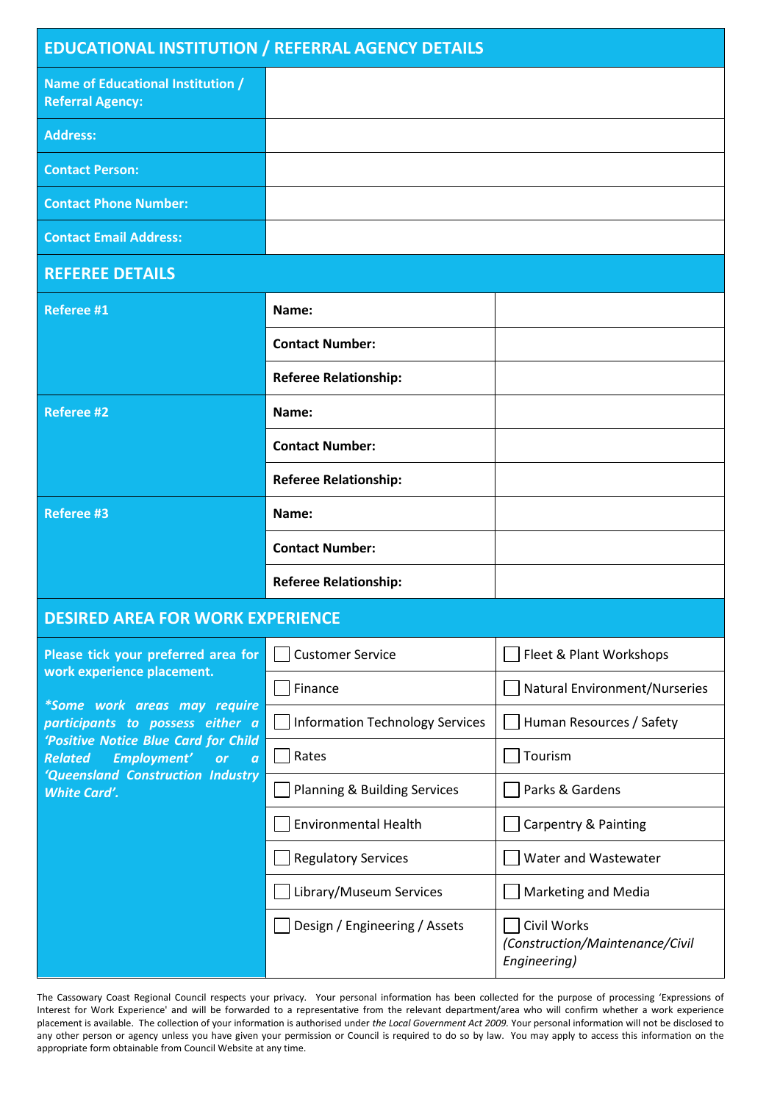| <b>EDUCATIONAL INSTITUTION / REFERRAL AGENCY DETAILS</b>                                                                                                                                                                                                                                             |                                        |                                                                |  |  |  |  |
|------------------------------------------------------------------------------------------------------------------------------------------------------------------------------------------------------------------------------------------------------------------------------------------------------|----------------------------------------|----------------------------------------------------------------|--|--|--|--|
| Name of Educational Institution /<br><b>Referral Agency:</b>                                                                                                                                                                                                                                         |                                        |                                                                |  |  |  |  |
| <b>Address:</b>                                                                                                                                                                                                                                                                                      |                                        |                                                                |  |  |  |  |
| <b>Contact Person:</b>                                                                                                                                                                                                                                                                               |                                        |                                                                |  |  |  |  |
| <b>Contact Phone Number:</b>                                                                                                                                                                                                                                                                         |                                        |                                                                |  |  |  |  |
| <b>Contact Email Address:</b>                                                                                                                                                                                                                                                                        |                                        |                                                                |  |  |  |  |
| <b>REFEREE DETAILS</b>                                                                                                                                                                                                                                                                               |                                        |                                                                |  |  |  |  |
| <b>Referee #1</b>                                                                                                                                                                                                                                                                                    | Name:                                  |                                                                |  |  |  |  |
|                                                                                                                                                                                                                                                                                                      | <b>Contact Number:</b>                 |                                                                |  |  |  |  |
|                                                                                                                                                                                                                                                                                                      | <b>Referee Relationship:</b>           |                                                                |  |  |  |  |
| <b>Referee #2</b>                                                                                                                                                                                                                                                                                    | Name:                                  |                                                                |  |  |  |  |
|                                                                                                                                                                                                                                                                                                      | <b>Contact Number:</b>                 |                                                                |  |  |  |  |
|                                                                                                                                                                                                                                                                                                      | <b>Referee Relationship:</b>           |                                                                |  |  |  |  |
| <b>Referee #3</b>                                                                                                                                                                                                                                                                                    | Name:                                  |                                                                |  |  |  |  |
|                                                                                                                                                                                                                                                                                                      | <b>Contact Number:</b>                 |                                                                |  |  |  |  |
|                                                                                                                                                                                                                                                                                                      | <b>Referee Relationship:</b>           |                                                                |  |  |  |  |
| <b>DESIRED AREA FOR WORK EXPERIENCE</b>                                                                                                                                                                                                                                                              |                                        |                                                                |  |  |  |  |
| Please tick your preferred area for<br>work experience placement.<br>*Some work areas may require<br>participants to possess either a<br>'Positive Notice Blue Card for Child<br>Employment'<br><b>Related</b><br>or<br>$\boldsymbol{a}$<br>'Queensland Construction Industry<br><b>White Card'.</b> | <b>Customer Service</b>                | Fleet & Plant Workshops                                        |  |  |  |  |
|                                                                                                                                                                                                                                                                                                      | Finance                                | Natural Environment/Nurseries                                  |  |  |  |  |
|                                                                                                                                                                                                                                                                                                      | <b>Information Technology Services</b> | Human Resources / Safety                                       |  |  |  |  |
|                                                                                                                                                                                                                                                                                                      | Rates                                  | Tourism                                                        |  |  |  |  |
|                                                                                                                                                                                                                                                                                                      | Planning & Building Services           | Parks & Gardens                                                |  |  |  |  |
|                                                                                                                                                                                                                                                                                                      | <b>Environmental Health</b>            | Carpentry & Painting                                           |  |  |  |  |
|                                                                                                                                                                                                                                                                                                      | <b>Regulatory Services</b>             | Water and Wastewater                                           |  |  |  |  |
|                                                                                                                                                                                                                                                                                                      | Library/Museum Services                | <b>Marketing and Media</b>                                     |  |  |  |  |
|                                                                                                                                                                                                                                                                                                      | Design / Engineering / Assets          | Civil Works<br>(Construction/Maintenance/Civil<br>Engineering) |  |  |  |  |

The Cassowary Coast Regional Council respects your privacy. Your personal information has been collected for the purpose of processing 'Expressions of Interest for Work Experience' and will be forwarded to a representative from the relevant department/area who will confirm whether a work experience placement is available. The collection of your information is authorised under *the Local Government Act 2009.* Your personal information will not be disclosed to any other person or agency unless you have given your permission or Council is required to do so by law. You may apply to access this information on the appropriate form obtainable from Council Website at any time.